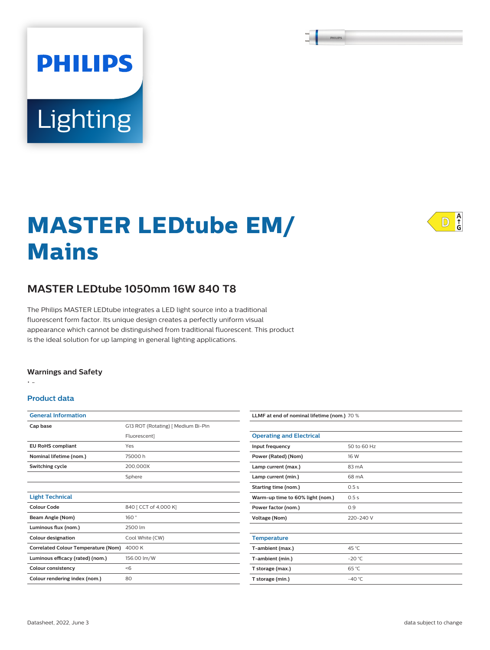# **PHILIPS** Lighting

# **MASTER LEDtube EM/ Mains**



# **MASTER LEDtube 1050mm 16W 840 T8**

The Philips MASTER LEDtube integrates a LED light source into a traditional fluorescent form factor. Its unique design creates a perfectly uniform visual appearance which cannot be distinguished from traditional fluorescent. This product is the ideal solution for up lamping in general lighting applications.

#### **Warnings and Safety**

• -

#### **Product data**

| <b>General Information</b>                 |                                    |  |  |  |  |
|--------------------------------------------|------------------------------------|--|--|--|--|
| Cap base                                   | G13 ROT (Rotating)   Medium Bi-Pin |  |  |  |  |
|                                            | Fluorescent]                       |  |  |  |  |
| <b>EU RoHS compliant</b>                   | Yes                                |  |  |  |  |
| Nominal lifetime (nom.)                    | 75000 h                            |  |  |  |  |
| Switching cycle                            | 200,000X                           |  |  |  |  |
|                                            | Sphere                             |  |  |  |  |
|                                            |                                    |  |  |  |  |
| <b>Light Technical</b>                     |                                    |  |  |  |  |
| Colour Code                                | 840   CCT of 4,000 K]              |  |  |  |  |
| Beam Angle (Nom)                           | 160°                               |  |  |  |  |
| Luminous flux (nom.)                       | 2500 lm                            |  |  |  |  |
| <b>Colour designation</b>                  | Cool White (CW)                    |  |  |  |  |
| <b>Correlated Colour Temperature (Nom)</b> | 4000 K                             |  |  |  |  |
| Luminous efficacy (rated) (nom.)           | 156.00 lm/W                        |  |  |  |  |
| <b>Colour consistency</b>                  | < 6                                |  |  |  |  |
| Colour rendering index (nom.)              | 80                                 |  |  |  |  |

| LLMF at end of nominal lifetime (nom.) 70 % |                 |  |  |  |
|---------------------------------------------|-----------------|--|--|--|
|                                             |                 |  |  |  |
| <b>Operating and Electrical</b>             |                 |  |  |  |
| Input frequency                             | 50 to 60 Hz     |  |  |  |
| Power (Rated) (Nom)                         | 16 W            |  |  |  |
| Lamp current (max.)                         | $83 \text{ mA}$ |  |  |  |
| Lamp current (min.)                         | 68 mA           |  |  |  |
| Starting time (nom.)                        | 0.5s            |  |  |  |
| Warm-up time to 60% light (nom.)            | 0.5s            |  |  |  |
| Power factor (nom.)                         | 0.9             |  |  |  |
| <b>Voltage (Nom)</b>                        | 220-240 V       |  |  |  |
|                                             |                 |  |  |  |
| <b>Temperature</b>                          |                 |  |  |  |
| T-ambient (max.)                            | 45 °C           |  |  |  |
| T-ambient (min.)                            | $-20 °C$        |  |  |  |
| T storage (max.)                            | 65 °C           |  |  |  |
| T storage (min.)                            | $-40^{\circ}$ C |  |  |  |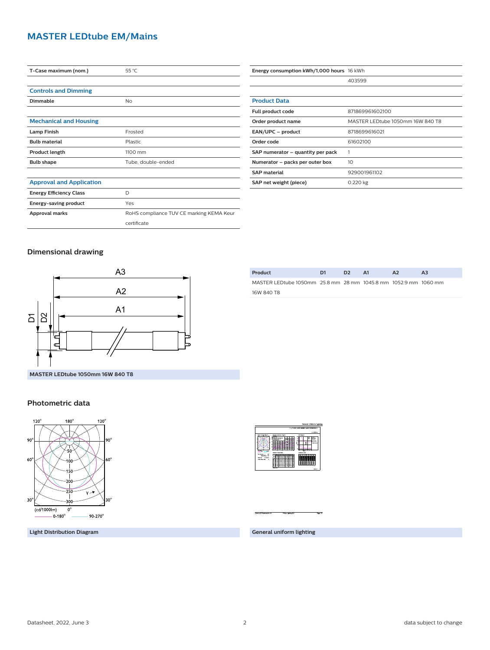### **MASTER LEDtube EM/Mains**

| T-Case maximum (nom.)           | 55 °C                                    |  |  |
|---------------------------------|------------------------------------------|--|--|
|                                 |                                          |  |  |
| <b>Controls and Dimming</b>     |                                          |  |  |
| Dimmable                        | No                                       |  |  |
|                                 |                                          |  |  |
| <b>Mechanical and Housing</b>   |                                          |  |  |
| <b>Lamp Finish</b>              | Frosted                                  |  |  |
| <b>Bulb material</b>            | Plastic                                  |  |  |
| Product length                  | 1100 mm                                  |  |  |
| <b>Bulb shape</b>               | Tube, double-ended                       |  |  |
|                                 |                                          |  |  |
| <b>Approval and Application</b> |                                          |  |  |
| <b>Energy Efficiency Class</b>  | D                                        |  |  |
| Energy-saving product           | Yes                                      |  |  |
| Approval marks                  | RoHS compliance TUV CE marking KEMA Keur |  |  |
|                                 | certificate                              |  |  |

| Energy consumption kWh/1,000 hours 16 kWh |                                  |  |  |
|-------------------------------------------|----------------------------------|--|--|
|                                           | 403599                           |  |  |
|                                           |                                  |  |  |
| <b>Product Data</b>                       |                                  |  |  |
| Full product code                         | 871869961602100                  |  |  |
| Order product name                        | MASTER LEDtube 1050mm 16W 840 T8 |  |  |
| EAN/UPC - product                         | 8718699616021                    |  |  |
| Order code                                | 61602100                         |  |  |
| SAP numerator – quantity per pack         |                                  |  |  |
| Numerator – packs per outer box           | 10                               |  |  |
| <b>SAP material</b>                       | 929001961102                     |  |  |
| SAP net weight (piece)                    | 0.220 kg                         |  |  |

#### **Dimensional drawing**



| Product                                                         | D1 | D <sub>2</sub> | A1 | A <sub>2</sub> | A <sub>3</sub> |  |
|-----------------------------------------------------------------|----|----------------|----|----------------|----------------|--|
| MASTER LEDtube 1050mm 25.8 mm 28 mm 1045.8 mm 1052.9 mm 1060 mm |    |                |    |                |                |  |
| 16W 840 T8                                                      |    |                |    |                |                |  |
|                                                                 |    |                |    |                |                |  |

#### **Photometric data**



**Light Distribution Diagram**



**General uniform lighting**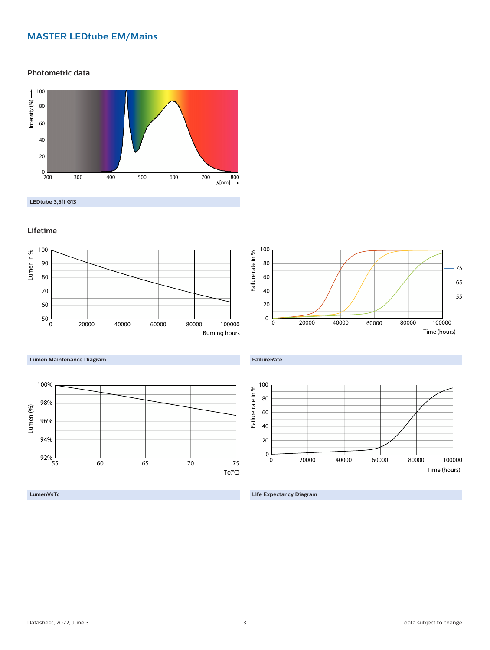## **MASTER LEDtube EM/Mains**

**Photometric data**



**LEDtube 3,5ft G13**